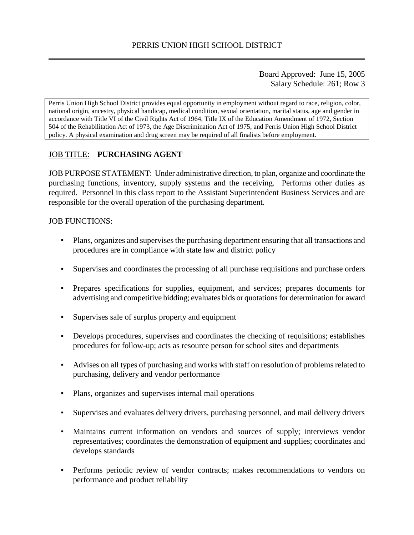Board Approved: June 15, 2005 Salary Schedule: 261; Row 3

Perris Union High School District provides equal opportunity in employment without regard to race, religion, color, national origin, ancestry, physical handicap, medical condition, sexual orientation, marital status, age and gender in accordance with Title VI of the Civil Rights Act of 1964, Title IX of the Education Amendment of 1972, Section 504 of the Rehabilitation Act of 1973, the Age Discrimination Act of 1975, and Perris Union High School District policy. A physical examination and drug screen may be required of all finalists before employment.

## JOB TITLE: **PURCHASING AGENT**

JOB PURPOSE STATEMENT: Under administrative direction, to plan, organize and coordinate the purchasing functions, inventory, supply systems and the receiving. Performs other duties as required. Personnel in this class report to the Assistant Superintendent Business Services and are responsible for the overall operation of the purchasing department.

#### **JOB FUNCTIONS:**

- Plans, organizes and supervises the purchasing department ensuring that all transactions and procedures are in compliance with state law and district policy
- Supervises and coordinates the processing of all purchase requisitions and purchase orders
- Prepares specifications for supplies, equipment, and services; prepares documents for advertising and competitive bidding; evaluates bids or quotations for determination for award
- Supervises sale of surplus property and equipment
- Develops procedures, supervises and coordinates the checking of requisitions; establishes procedures for follow-up; acts as resource person for school sites and departments
- Advises on all types of purchasing and works with staff on resolution of problems related to purchasing, delivery and vendor performance
- Plans, organizes and supervises internal mail operations
- Supervises and evaluates delivery drivers, purchasing personnel, and mail delivery drivers
- Maintains current information on vendors and sources of supply; interviews vendor representatives; coordinates the demonstration of equipment and supplies; coordinates and develops standards
- Performs periodic review of vendor contracts; makes recommendations to vendors on performance and product reliability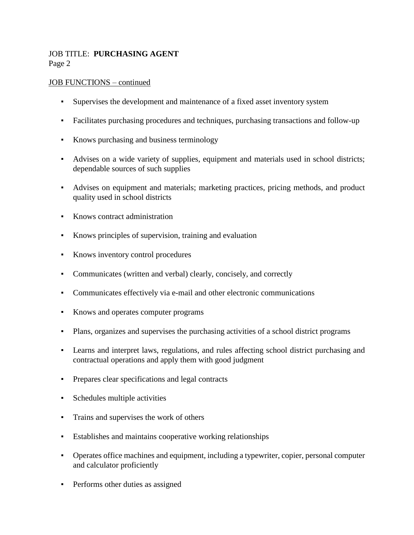### JOB TITLE: **PURCHASING AGENT** Page 2

#### JOB FUNCTIONS – continued

- Supervises the development and maintenance of a fixed asset inventory system
- Facilitates purchasing procedures and techniques, purchasing transactions and follow-up
- Knows purchasing and business terminology
- Advises on a wide variety of supplies, equipment and materials used in school districts; dependable sources of such supplies
- Advises on equipment and materials; marketing practices, pricing methods, and product quality used in school districts
- Knows contract administration
- Knows principles of supervision, training and evaluation
- Knows inventory control procedures
- Communicates (written and verbal) clearly, concisely, and correctly
- Communicates effectively via e-mail and other electronic communications
- Knows and operates computer programs
- Plans, organizes and supervises the purchasing activities of a school district programs
- Learns and interpret laws, regulations, and rules affecting school district purchasing and contractual operations and apply them with good judgment
- Prepares clear specifications and legal contracts
- Schedules multiple activities
- Trains and supervises the work of others
- Establishes and maintains cooperative working relationships
- Operates office machines and equipment, including a typewriter, copier, personal computer and calculator proficiently
- Performs other duties as assigned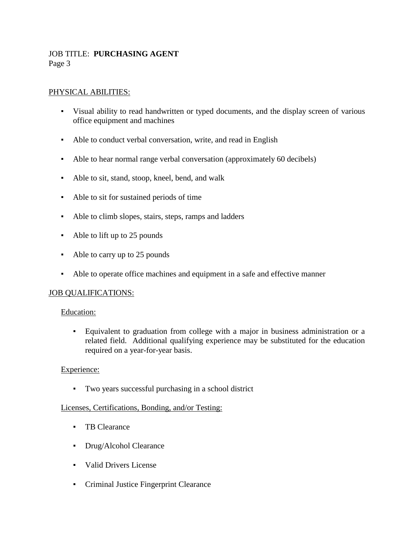### JOB TITLE: **PURCHASING AGENT** Page 3

### PHYSICAL ABILITIES:

- Visual ability to read handwritten or typed documents, and the display screen of various office equipment and machines
- Able to conduct verbal conversation, write, and read in English
- Able to hear normal range verbal conversation (approximately 60 decibels)
- Able to sit, stand, stoop, kneel, bend, and walk
- Able to sit for sustained periods of time
- Able to climb slopes, stairs, steps, ramps and ladders
- Able to lift up to 25 pounds
- Able to carry up to 25 pounds
- Able to operate office machines and equipment in a safe and effective manner

### JOB QUALIFICATIONS:

### Education:

▪ Equivalent to graduation from college with a major in business administration or a related field. Additional qualifying experience may be substituted for the education required on a year-for-year basis.

#### Experience:

▪ Two years successful purchasing in a school district

#### Licenses, Certifications, Bonding, and/or Testing:

- TB Clearance
- Drug/Alcohol Clearance
- Valid Drivers License
- Criminal Justice Fingerprint Clearance